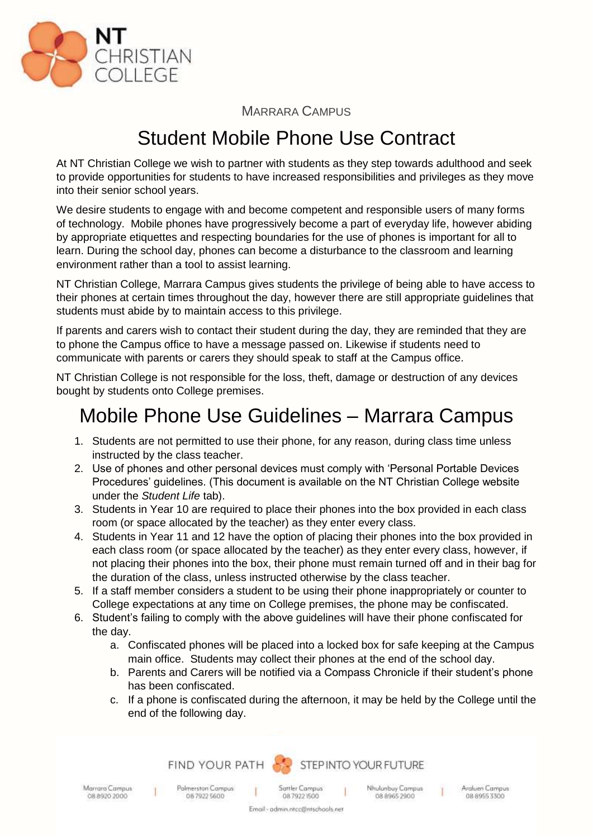

MARRARA CAMPUS

## Student Mobile Phone Use Contract

At NT Christian College we wish to partner with students as they step towards adulthood and seek to provide opportunities for students to have increased responsibilities and privileges as they move into their senior school years.

We desire students to engage with and become competent and responsible users of many forms of technology. Mobile phones have progressively become a part of everyday life, however abiding by appropriate etiquettes and respecting boundaries for the use of phones is important for all to learn. During the school day, phones can become a disturbance to the classroom and learning environment rather than a tool to assist learning.

NT Christian College, Marrara Campus gives students the privilege of being able to have access to their phones at certain times throughout the day, however there are still appropriate guidelines that students must abide by to maintain access to this privilege.

If parents and carers wish to contact their student during the day, they are reminded that they are to phone the Campus office to have a message passed on. Likewise if students need to communicate with parents or carers they should speak to staff at the Campus office.

NT Christian College is not responsible for the loss, theft, damage or destruction of any devices bought by students onto College premises.

## Mobile Phone Use Guidelines – Marrara Campus

- 1. Students are not permitted to use their phone, for any reason, during class time unless instructed by the class teacher.
- 2. Use of phones and other personal devices must comply with 'Personal Portable Devices Procedures' guidelines. (This document is available on the NT Christian College website under the *Student Life* tab).
- 3. Students in Year 10 are required to place their phones into the box provided in each class room (or space allocated by the teacher) as they enter every class.
- 4. Students in Year 11 and 12 have the option of placing their phones into the box provided in each class room (or space allocated by the teacher) as they enter every class, however, if not placing their phones into the box, their phone must remain turned off and in their bag for the duration of the class, unless instructed otherwise by the class teacher.
- 5. If a staff member considers a student to be using their phone inappropriately or counter to College expectations at any time on College premises, the phone may be confiscated.
- 6. Student's failing to comply with the above guidelines will have their phone confiscated for the day.
	- a. Confiscated phones will be placed into a locked box for safe keeping at the Campus main office. Students may collect their phones at the end of the school day.
	- b. Parents and Carers will be notified via a Compass Chronicle if their student's phone has been confiscated.
	- c. If a phone is confiscated during the afternoon, it may be held by the College until the end of the following day.



Marrara Campus 08 8920 2000

 $\mathbf{I}$ 

Email - admin.ntcc@ntschools.net

Polmerston Campus

0879225600

Sattler Campus 08 7922 1500

Nhulunbuy Campus 08 8965 2900

Araluen Campus 08 8955 3300

 $\mathbf{I}$